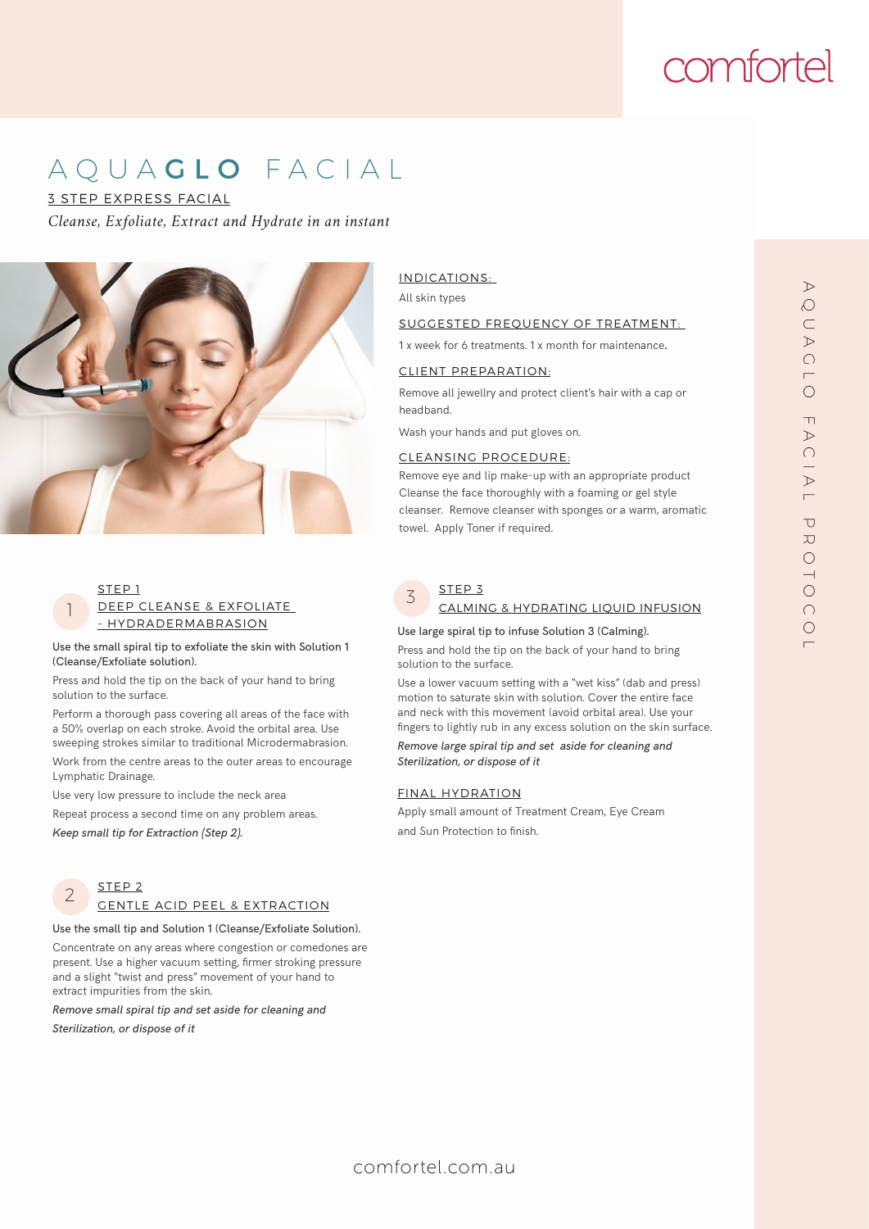# comfortel

# AQUAGLO FACIAL

3 STEP EXPRESS FACIAL

*Cleanse, Exfoliate, Extract and Hydrate in an instant*



All skin types

# SUGGESTED FREQUENCY OF TREATMENT:

1 x week for 6 treatments. 1 x month for maintenance.

# CLIENT PREPARATION:

Remove all jewellry and protect client's hair with a cap or headband.

Wash your hands and put gloves on.

# CLEANSING PROCEDURE:

Remove eye and lip make-up with an appropriate product Cleanse the face thoroughly with a foaming or gel style cleanser. Remove cleanser with sponges or a warm, aromatic towel. Apply Toner if required.

# STEP 3

#### CALMING & HYDRATING LIQUID INFUSION 3

Use large spiral tip to infuse Solution 3 (Calming).

Press and hold the tip on the back of your hand to bring solution to the surface.

Use a lower vacuum setting with a "wet kiss" (dab and press) motion to saturate skin with solution. Cover the entire face and neck with this movement (avoid orbital area). Use your fingers to lightly rub in any excess solution on the skin surface. *Remove large spiral tip and set aside for cleaning and Sterilization, or dispose of it*

#### FINAL HYDRATION

Apply small amount of Treatment Cream, Eye Cream and Sun Protection to finish.



# STEP 1 DEEP CLEANSE & EXFOLIATE - HYDRADERMABRASION

Use the small spiral tip to exfoliate the skin with Solution 1 (Cleanse/Exfoliate solution).

Press and hold the tip on the back of your hand to bring solution to the surface.

Perform a thorough pass covering all areas of the face with a 50% overlap on each stroke. Avoid the orbital area. Use sweeping strokes similar to traditional Microdermabrasion.

Work from the centre areas to the outer areas to encourage Lymphatic Drainage.

Use very low pressure to include the neck area

Repeat process a second time on any problem areas.

*Keep small tip for Extraction (Step 2).*

1



Use the small tip and Solution 1 (Cleanse/Exfoliate Solution).

Concentrate on any areas where congestion or comedones are present. Use a higher vacuum setting, firmer stroking pressure and a slight "twist and press" movement of your hand to extract impurities from the skin.

*Remove small spiral tip and set aside for cleaning and* 

*Sterilization, or dispose of it*